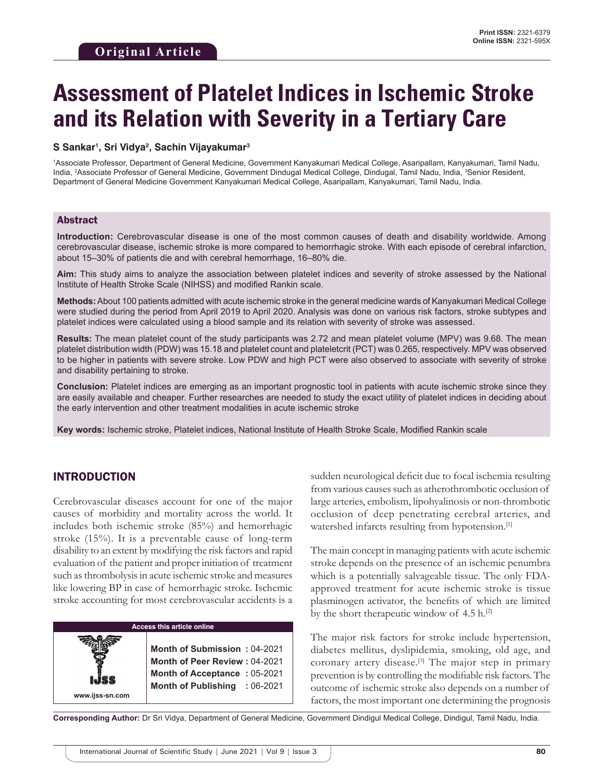# **Assessment of Platelet Indices in Ischemic Stroke and its Relation with Severity in a Tertiary Care**

#### **S Sankar1 , Sri Vidya2 , Sachin Vijayakumar3**

1 Associate Professor, Department of General Medicine, Government Kanyakumari Medical College, Asaripallam, Kanyakumari, Tamil Nadu, India, <sup>2</sup>Associate Professor of General Medicine, Government Dindugal Medical College, Dindugal, Tamil Nadu, India, <sup>3</sup>Senior Resident, Department of General Medicine Government Kanyakumari Medical College, Asaripallam, Kanyakumari, Tamil Nadu, India.

#### Abstract

**Introduction:** Cerebrovascular disease is one of the most common causes of death and disability worldwide. Among cerebrovascular disease, ischemic stroke is more compared to hemorrhagic stroke. With each episode of cerebral infarction, about 15–30% of patients die and with cerebral hemorrhage, 16–80% die.

**Aim:** This study aims to analyze the association between platelet indices and severity of stroke assessed by the National Institute of Health Stroke Scale (NIHSS) and modified Rankin scale.

**Methods:** About 100 patients admitted with acute ischemic stroke in the general medicine wards of Kanyakumari Medical College were studied during the period from April 2019 to April 2020. Analysis was done on various risk factors, stroke subtypes and platelet indices were calculated using a blood sample and its relation with severity of stroke was assessed.

**Results:** The mean platelet count of the study participants was 2.72 and mean platelet volume (MPV) was 9.68. The mean platelet distribution width (PDW) was 15.18 and platelet count and plateletcrit (PCT) was 0.265, respectively. MPV was observed to be higher in patients with severe stroke. Low PDW and high PCT were also observed to associate with severity of stroke and disability pertaining to stroke.

**Conclusion:** Platelet indices are emerging as an important prognostic tool in patients with acute ischemic stroke since they are easily available and cheaper. Further researches are needed to study the exact utility of platelet indices in deciding about the early intervention and other treatment modalities in acute ischemic stroke

**Key words:** Ischemic stroke, Platelet indices, National Institute of Health Stroke Scale, Modified Rankin scale

## INTRODUCTION

**www.ijss-sn.com**

Cerebrovascular diseases account for one of the major causes of morbidity and mortality across the world. It includes both ischemic stroke (85%) and hemorrhagic stroke (15%). It is a preventable cause of long-term disability to an extent by modifying the risk factors and rapid evaluation of the patient and proper initiation of treatment such as thrombolysis in acute ischemic stroke and measures like lowering BP in case of hemorrhagic stroke. Ischemic stroke accounting for most cerebrovascular accidents is a

#### **Access this article online**

**Month of Submission :** 04-2021 **Month of Peer Review :** 04-2021 **Month of Acceptance :** 05-2021 **Month of Publishing :** 06-2021

sudden neurological deficit due to focal ischemia resulting from various causes such as atherothrombotic occlusion of large arteries, embolism, lipohyalinosis or non-thrombotic occlusion of deep penetrating cerebral arteries, and watershed infarcts resulting from hypotension.<sup>[1]</sup>

The main concept in managing patients with acute ischemic stroke depends on the presence of an ischemic penumbra which is a potentially salvageable tissue. The only FDAapproved treatment for acute ischemic stroke is tissue plasminogen activator, the benefits of which are limited by the short therapeutic window of  $4.5$  h.<sup>[2]</sup>

The major risk factors for stroke include hypertension, diabetes mellitus, dyslipidemia, smoking, old age, and coronary artery disease.<sup>[3]</sup> The major step in primary prevention is by controlling the modifiable risk factors. The outcome of ischemic stroke also depends on a number of factors, the most important one determining the prognosis

**Corresponding Author:** Dr Sri Vidya, Department of General Medicine, Government Dindigul Medical College, Dindigul, Tamil Nadu, India.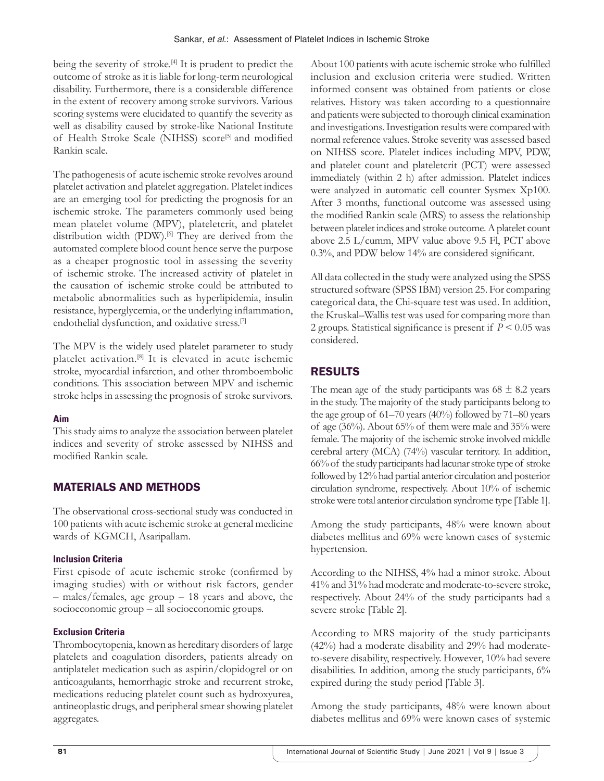being the severity of stroke.<sup>[4]</sup> It is prudent to predict the outcome of stroke as it is liable for long-term neurological disability. Furthermore, there is a considerable difference in the extent of recovery among stroke survivors. Various scoring systems were elucidated to quantify the severity as well as disability caused by stroke-like National Institute of Health Stroke Scale (NIHSS) score<sup>[5]</sup> and modified Rankin scale.

The pathogenesis of acute ischemic stroke revolves around platelet activation and platelet aggregation. Platelet indices are an emerging tool for predicting the prognosis for an ischemic stroke. The parameters commonly used being mean platelet volume (MPV), plateletcrit, and platelet distribution width (PDW).<sup>[6]</sup> They are derived from the automated complete blood count hence serve the purpose as a cheaper prognostic tool in assessing the severity of ischemic stroke. The increased activity of platelet in the causation of ischemic stroke could be attributed to metabolic abnormalities such as hyperlipidemia, insulin resistance, hyperglycemia, or the underlying inflammation, endothelial dysfunction, and oxidative stress.<sup>[7]</sup>

The MPV is the widely used platelet parameter to study platelet activation.[8] It is elevated in acute ischemic stroke, myocardial infarction, and other thromboembolic conditions. This association between MPV and ischemic stroke helps in assessing the prognosis of stroke survivors.

#### **Aim**

This study aims to analyze the association between platelet indices and severity of stroke assessed by NIHSS and modified Rankin scale.

# MATERIALS AND METHODS

The observational cross-sectional study was conducted in 100 patients with acute ischemic stroke at general medicine wards of KGMCH, Asaripallam.

## **Inclusion Criteria**

First episode of acute ischemic stroke (confirmed by imaging studies) with or without risk factors, gender – males/females, age group – 18 years and above, the socioeconomic group – all socioeconomic groups.

## **Exclusion Criteria**

Thrombocytopenia, known as hereditary disorders of large platelets and coagulation disorders, patients already on antiplatelet medication such as aspirin/clopidogrel or on anticoagulants, hemorrhagic stroke and recurrent stroke, medications reducing platelet count such as hydroxyurea, antineoplastic drugs, and peripheral smear showing platelet aggregates.

About 100 patients with acute ischemic stroke who fulfilled inclusion and exclusion criteria were studied. Written informed consent was obtained from patients or close relatives. History was taken according to a questionnaire and patients were subjected to thorough clinical examination and investigations. Investigation results were compared with normal reference values. Stroke severity was assessed based on NIHSS score. Platelet indices including MPV, PDW, and platelet count and plateletcrit (PCT) were assessed immediately (within 2 h) after admission. Platelet indices were analyzed in automatic cell counter Sysmex Xp100. After 3 months, functional outcome was assessed using the modified Rankin scale (MRS) to assess the relationship between platelet indices and stroke outcome. A platelet count above 2.5 L/cumm, MPV value above 9.5 Fl, PCT above 0.3%, and PDW below 14% are considered significant.

All data collected in the study were analyzed using the SPSS structured software (SPSS IBM) version 25. For comparing categorical data, the Chi-square test was used. In addition, the Kruskal–Wallis test was used for comparing more than 2 groups. Statistical significance is present if *P* < 0.05 was considered.

# RESULTS

The mean age of the study participants was  $68 \pm 8.2$  years in the study. The majority of the study participants belong to the age group of 61–70 years (40%) followed by 71–80 years of age (36%). About 65% of them were male and 35% were female. The majority of the ischemic stroke involved middle cerebral artery (MCA) (74%) vascular territory. In addition, 66% of the study participants had lacunar stroke type of stroke followed by 12% had partial anterior circulation and posterior circulation syndrome, respectively. About 10% of ischemic stroke were total anterior circulation syndrome type [Table 1].

Among the study participants, 48% were known about diabetes mellitus and 69% were known cases of systemic hypertension.

According to the NIHSS, 4% had a minor stroke. About 41% and 31% had moderate and moderate-to-severe stroke, respectively. About 24% of the study participants had a severe stroke [Table 2].

According to MRS majority of the study participants (42%) had a moderate disability and 29% had moderateto-severe disability, respectively. However, 10% had severe disabilities. In addition, among the study participants, 6% expired during the study period [Table 3].

Among the study participants, 48% were known about diabetes mellitus and 69% were known cases of systemic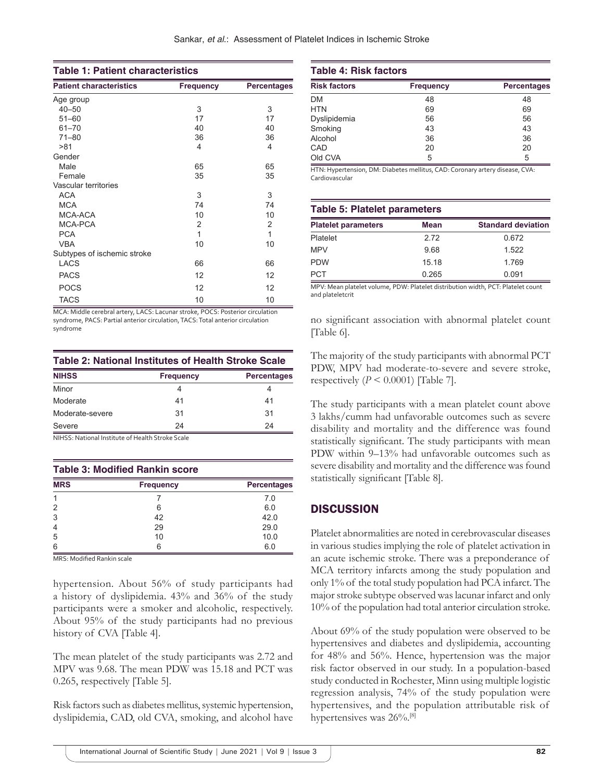| <b>Table 1: Patient characteristics</b> |                  |                    |  |  |
|-----------------------------------------|------------------|--------------------|--|--|
| <b>Patient characteristics</b>          | <b>Frequency</b> | <b>Percentages</b> |  |  |
| Age group                               |                  |                    |  |  |
| $40 - 50$                               | 3                | 3                  |  |  |
| $51 - 60$                               | 17               | 17                 |  |  |
| $61 - 70$                               | 40               | 40                 |  |  |
| $71 - 80$                               | 36               | 36                 |  |  |
| >81                                     | 4                | 4                  |  |  |
| Gender                                  |                  |                    |  |  |
| Male                                    | 65               | 65                 |  |  |
| Female                                  | 35               | 35                 |  |  |
| Vascular territories                    |                  |                    |  |  |
| <b>ACA</b>                              | 3                | 3                  |  |  |
| <b>MCA</b>                              | 74               | 74                 |  |  |
| MCA-ACA                                 | 10               | 10                 |  |  |
| MCA-PCA                                 | 2                | 2                  |  |  |
| <b>PCA</b>                              | 1                | $\mathbf{1}$       |  |  |
| <b>VBA</b>                              | 10               | 10                 |  |  |
| Subtypes of ischemic stroke             |                  |                    |  |  |
| <b>LACS</b>                             | 66               | 66                 |  |  |
| <b>PACS</b>                             | 12               | 12                 |  |  |
| <b>POCS</b>                             | 12               | 12                 |  |  |
| <b>TACS</b>                             | 10               | 10                 |  |  |

MCA: Middle cerebral artery, LACS: Lacunar stroke, POCS: Posterior circulation syndrome, PACS: Partial anterior circulation, TACS: Total anterior circulation syndrome

**Table 2: National Institutes of Health Stroke Scale**

| <b>NIHSS</b>    | <b>Frequency</b> | <b>Percentages</b> |
|-----------------|------------------|--------------------|
| Minor           |                  |                    |
| Moderate        | 41               | 41                 |
| Moderate-severe | 31               | 31                 |
| Severe          | 24               | 24                 |

NIHSS: National Institute of Health Stroke Scale

| <b>Table 3: Modified Rankin score</b> |                  |                    |  |
|---------------------------------------|------------------|--------------------|--|
| <b>MRS</b>                            | <b>Frequency</b> | <b>Percentages</b> |  |
|                                       |                  | 7.0                |  |
| 2                                     | 6                | 6.0                |  |
| 3                                     | 42               | 42.0               |  |
| $\overline{4}$                        | 29               | 29.0               |  |
| 5                                     | 10               | 10.0               |  |
| 6                                     |                  | 6.0                |  |

MRS: Modified Rankin scale

hypertension. About 56% of study participants had a history of dyslipidemia. 43% and 36% of the study participants were a smoker and alcoholic, respectively. About 95% of the study participants had no previous history of CVA [Table 4].

The mean platelet of the study participants was 2.72 and MPV was 9.68. The mean PDW was 15.18 and PCT was 0.265, respectively [Table 5].

Risk factors such as diabetes mellitus, systemic hypertension, dyslipidemia, CAD, old CVA, smoking, and alcohol have

#### **Table 4: Risk factors**

| <b>Risk factors</b> | <b>Frequency</b> | <b>Percentages</b> |
|---------------------|------------------|--------------------|
| <b>DM</b>           | 48               | 48                 |
| <b>HTN</b>          | 69               | 69                 |
| Dyslipidemia        | 56               | 56                 |
| Smoking             | 43               | 43                 |
| Alcohol             | 36               | 36                 |
| CAD                 | 20               | 20                 |
| Old CVA             | 5                | 5                  |

HTN: Hypertension, DM: Diabetes mellitus, CAD: Coronary artery disease, CVA: Cardiovascular

| <b>Table 5: Platelet parameters</b>                                       |             |                           |  |  |  |
|---------------------------------------------------------------------------|-------------|---------------------------|--|--|--|
| <b>Platelet parameters</b>                                                | <b>Mean</b> | <b>Standard deviation</b> |  |  |  |
| Platelet                                                                  | 2.72        | 0.672                     |  |  |  |
| <b>MPV</b>                                                                | 9.68        | 1.522                     |  |  |  |
| <b>PDW</b>                                                                | 15.18       | 1.769                     |  |  |  |
| <b>PCT</b>                                                                | 0.265       | 0.091                     |  |  |  |
| MDV Mass statute along DDW District distribution width DCT District count |             |                           |  |  |  |

MPV: Mean platelet volume, PDW: Platelet distribution width, PCT: Platelet count and plateletcrit

no significant association with abnormal platelet count [Table 6].

The majority of the study participants with abnormal PCT PDW, MPV had moderate-to-severe and severe stroke, respectively  $(P \le 0.0001)$  [Table 7].

The study participants with a mean platelet count above 3 lakhs/cumm had unfavorable outcomes such as severe disability and mortality and the difference was found statistically significant. The study participants with mean PDW within 9–13% had unfavorable outcomes such as severe disability and mortality and the difference was found statistically significant [Table 8].

# **DISCUSSION**

Platelet abnormalities are noted in cerebrovascular diseases in various studies implying the role of platelet activation in an acute ischemic stroke. There was a preponderance of MCA territory infarcts among the study population and only 1% of the total study population had PCA infarct. The major stroke subtype observed was lacunar infarct and only 10% of the population had total anterior circulation stroke.

About 69% of the study population were observed to be hypertensives and diabetes and dyslipidemia, accounting for 48% and 56%. Hence, hypertension was the major risk factor observed in our study. In a population-based study conducted in Rochester, Minn using multiple logistic regression analysis, 74% of the study population were hypertensives, and the population attributable risk of hypertensives was 26%.<sup>[8]</sup>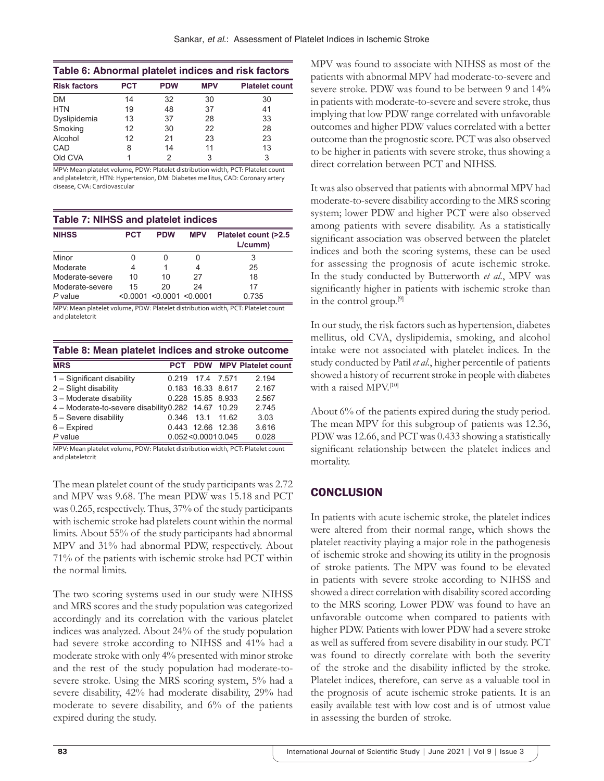| Table 6: Abnormal platelet indices and risk factors |            |            |            |                       |
|-----------------------------------------------------|------------|------------|------------|-----------------------|
| <b>Risk factors</b>                                 | <b>PCT</b> | <b>PDW</b> | <b>MPV</b> | <b>Platelet count</b> |
| <b>DM</b>                                           | 14         | 32         | 30         | 30                    |
| <b>HTN</b>                                          | 19         | 48         | 37         | 41                    |
| Dyslipidemia                                        | 13         | 37         | 28         | 33                    |
| Smoking                                             | 12         | 30         | 22         | 28                    |
| Alcohol                                             | 12         | 21         | 23         | 23                    |
| CAD                                                 | 8          | 14         | 11         | 13                    |
| Old CVA                                             |            | 2          | 3          | 3                     |

MPV: Mean platelet volume, PDW: Platelet distribution width, PCT: Platelet count and plateletcrit, HTN: Hypertension, DM: Diabetes mellitus, CAD: Coronary artery disease, CVA: Cardiovascular

#### **Table 7: NIHSS and platelet indices**

| <b>NIHSS</b>    | <b>PCT</b> | <b>PDW</b>                       | <b>MPV</b> | Platelet count (>2.5<br>L/cumm) |
|-----------------|------------|----------------------------------|------------|---------------------------------|
| Minor           |            |                                  |            | 3                               |
| Moderate        |            |                                  |            | 25                              |
| Moderate-severe | 10         | 10                               | 27         | 18                              |
| Moderate-severe | 15         | 20                               | 24         | 17                              |
| P value         |            | $< 0.0001$ $< 0.0001$ $< 0.0001$ |            | 0.735                           |

MPV: Mean platelet volume, PDW: Platelet distribution width, PCT: Platelet count and plateletcrit

| Table 8: Mean platelet indices and stroke outcome |  |                   |  |                                   |  |
|---------------------------------------------------|--|-------------------|--|-----------------------------------|--|
| <b>MRS</b>                                        |  |                   |  | <b>PCT PDW MPV Platelet count</b> |  |
| 1 - Significant disability                        |  | 0.219 17.4 7.571  |  | 2 1 9 4                           |  |
| 2 – Slight disabilitv                             |  | 0.183 16.33 8.617 |  | 2.167                             |  |

| 2 – Slight disability                              | 0.183 16.33 8.617       | 2.167 |
|----------------------------------------------------|-------------------------|-------|
| 3 - Moderate disability                            | 0.228 15.85 8.933       | 2.567 |
| 4 – Moderate-to-severe disability0.282 14.67 10.29 |                         | 2.745 |
| 5 - Severe disability                              | 0.346 13.1 11.62        | 3.03  |
| 6 – Expired                                        | 0.443 12.66 12.36       | 3.616 |
| P value                                            | $0.052 \le 0.00010.045$ | 0.028 |

MPV: Mean platelet volume, PDW: Platelet distribution width, PCT: Platelet count and plateletcrit

The mean platelet count of the study participants was 2.72 and MPV was 9.68. The mean PDW was 15.18 and PCT was 0.265, respectively. Thus,  $37\%$  of the study participants with ischemic stroke had platelets count within the normal limits. About 55% of the study participants had abnormal MPV and 31% had abnormal PDW, respectively. About 71% of the patients with ischemic stroke had PCT within the normal limits.

The two scoring systems used in our study were NIHSS and MRS scores and the study population was categorized accordingly and its correlation with the various platelet indices was analyzed. About 24% of the study population had severe stroke according to NIHSS and 41% had a moderate stroke with only 4% presented with minor stroke and the rest of the study population had moderate-tosevere stroke. Using the MRS scoring system, 5% had a severe disability, 42% had moderate disability, 29% had moderate to severe disability, and 6% of the patients expired during the study.

MPV was found to associate with NIHSS as most of the patients with abnormal MPV had moderate-to-severe and severe stroke. PDW was found to be between 9 and 14% in patients with moderate-to-severe and severe stroke, thus implying that low PDW range correlated with unfavorable outcomes and higher PDW values correlated with a better outcome than the prognostic score. PCT was also observed to be higher in patients with severe stroke, thus showing a direct correlation between PCT and NIHSS.

It was also observed that patients with abnormal MPV had moderate-to-severe disability according to the MRS scoring system; lower PDW and higher PCT were also observed among patients with severe disability. As a statistically significant association was observed between the platelet indices and both the scoring systems, these can be used for assessing the prognosis of acute ischemic stroke. In the study conducted by Butterworth *et al*., MPV was significantly higher in patients with ischemic stroke than in the control group.[9]

In our study, the risk factors such as hypertension, diabetes mellitus, old CVA, dyslipidemia, smoking, and alcohol intake were not associated with platelet indices. In the study conducted by Patil *et al*., higher percentile of patients showed a history of recurrent stroke in people with diabetes with a raised MPV.<sup>[10]</sup>

About 6% of the patients expired during the study period. The mean MPV for this subgroup of patients was 12.36, PDW was 12.66, and PCT was 0.433 showing a statistically significant relationship between the platelet indices and mortality.

# **CONCLUSION**

In patients with acute ischemic stroke, the platelet indices were altered from their normal range, which shows the platelet reactivity playing a major role in the pathogenesis of ischemic stroke and showing its utility in the prognosis of stroke patients. The MPV was found to be elevated in patients with severe stroke according to NIHSS and showed a direct correlation with disability scored according to the MRS scoring. Lower PDW was found to have an unfavorable outcome when compared to patients with higher PDW. Patients with lower PDW had a severe stroke as well as suffered from severe disability in our study. PCT was found to directly correlate with both the severity of the stroke and the disability inflicted by the stroke. Platelet indices, therefore, can serve as a valuable tool in the prognosis of acute ischemic stroke patients. It is an easily available test with low cost and is of utmost value in assessing the burden of stroke.